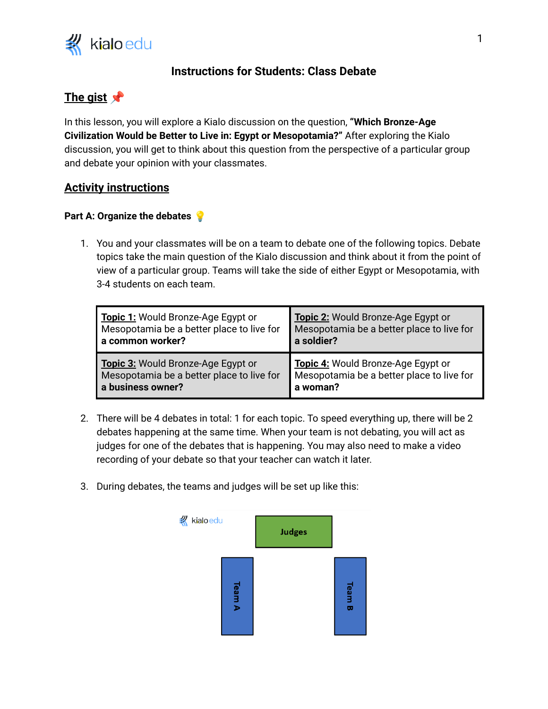

## **Instructions for Students: Class Debate**

# **The gist**

In this lesson, you will explore a Kialo discussion on the question, **"Which Bronze-Age Civilization Would be Better to Live in: Egypt or Mesopotamia?"** After exploring the Kialo discussion, you will get to think about this question from the perspective of a particular group and debate your opinion with your classmates.

### **Activity instructions**

#### **Part A: Organize the debates**

1. You and your classmates will be on a team to debate one of the following topics. Debate topics take the main question of the Kialo discussion and think about it from the point of view of a particular group. Teams will take the side of either Egypt or Mesopotamia, with 3-4 students on each team.

| Topic 1: Would Bronze-Age Egypt or        | Topic 2: Would Bronze-Age Egypt or        |
|-------------------------------------------|-------------------------------------------|
| Mesopotamia be a better place to live for | Mesopotamia be a better place to live for |
| a common worker?                          | a soldier?                                |
| Topic 3: Would Bronze-Age Egypt or        | Topic 4: Would Bronze-Age Egypt or        |
| Mesopotamia be a better place to live for | Mesopotamia be a better place to live for |
| a business owner?                         | a woman?                                  |

- 2. There will be 4 debates in total: 1 for each topic. To speed everything up, there will be 2 debates happening at the same time. When your team is not debating, you will act as judges for one of the debates that is happening. You may also need to make a video recording of your debate so that your teacher can watch it later.
- 3. During debates, the teams and judges will be set up like this: